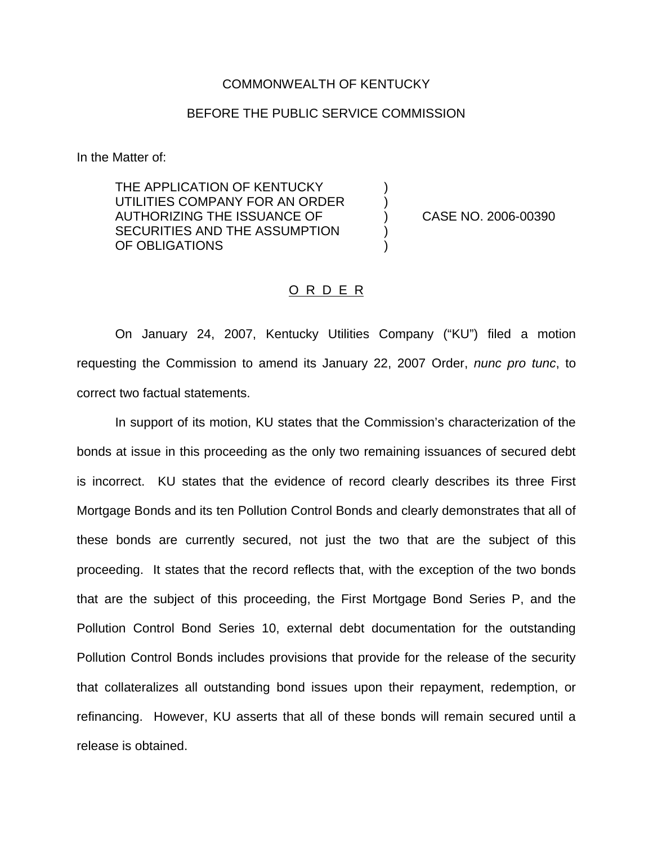## COMMONWEALTH OF KENTUCKY

## BEFORE THE PUBLIC SERVICE COMMISSION

In the Matter of:

THE APPLICATION OF KENTUCKY UTILITIES COMPANY FOR AN ORDER AUTHORIZING THE ISSUANCE OF ) CASE NO. 2006-00390 SECURITIES AND THE ASSUMPTION OF OBLIGATIONS

## O R D E R

On January 24, 2007, Kentucky Utilities Company ("KU") filed a motion requesting the Commission to amend its January 22, 2007 Order, *nunc pro tunc*, to correct two factual statements.

In support of its motion, KU states that the Commission's characterization of the bonds at issue in this proceeding as the only two remaining issuances of secured debt is incorrect. KU states that the evidence of record clearly describes its three First Mortgage Bonds and its ten Pollution Control Bonds and clearly demonstrates that all of these bonds are currently secured, not just the two that are the subject of this proceeding. It states that the record reflects that, with the exception of the two bonds that are the subject of this proceeding, the First Mortgage Bond Series P, and the Pollution Control Bond Series 10, external debt documentation for the outstanding Pollution Control Bonds includes provisions that provide for the release of the security that collateralizes all outstanding bond issues upon their repayment, redemption, or refinancing. However, KU asserts that all of these bonds will remain secured until a release is obtained.